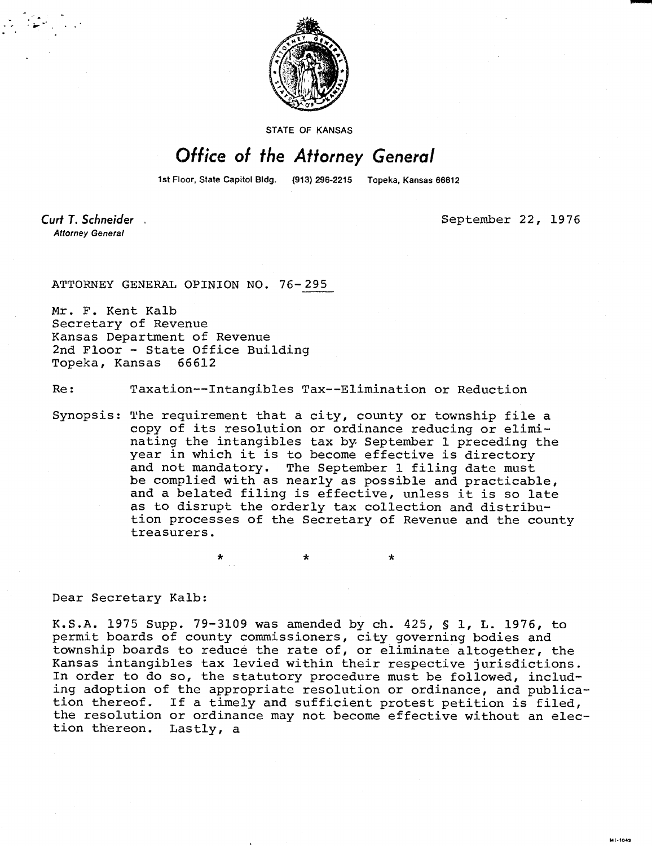

STATE OF KANSAS

## Office of the Attorney General

1st Floor, State Capitol Bldg. (913) 296-2215 Topeka, Kansas 66612

Curt T. Schneider. **Attorney General** 

September 22, 1976

**ML-1043** 

ATTORNEY GENERAL OPINION NO. 76-295

Mr. F. Kent Kalb Secretary of Revenue Kansas Department of Revenue 2nd Floor - State Office Building Topeka, Kansas 66612

Re: Taxation--Intangibles Tax--Elimination or Reduction

Synopsis: The requirement that a city, county or township file a copy of its resolution or ordinance reducing or eliminating the intangibles tax by September 1 preceding the year in which it is to become effective is directory and not mandatory. The September 1 filing date must be complied with as nearly as possible and practicable, and a belated filing is effective, unless it is so late as to disrupt the orderly tax collection and distribution processes of the Secretary of Revenue and the county treasurers.

\*

Dear Secretary Kalb:

K.S.A. 1975 Supp. 79-3109 was amended by ch. 425, § 1, L. 1976, to permit boards of county commissioners, city governing bodies and township boards to reduce the rate of, or eliminate altogether, the Kansas intangibles tax levied within their respective jurisdictions. In order to do so, the statutory procedure must be followed, including adoption of the appropriate resolution or ordinance, and publication thereof. If a timely and sufficient protest petition is filed, the resolution or ordinance may not become effective without an election thereon. Lastly, a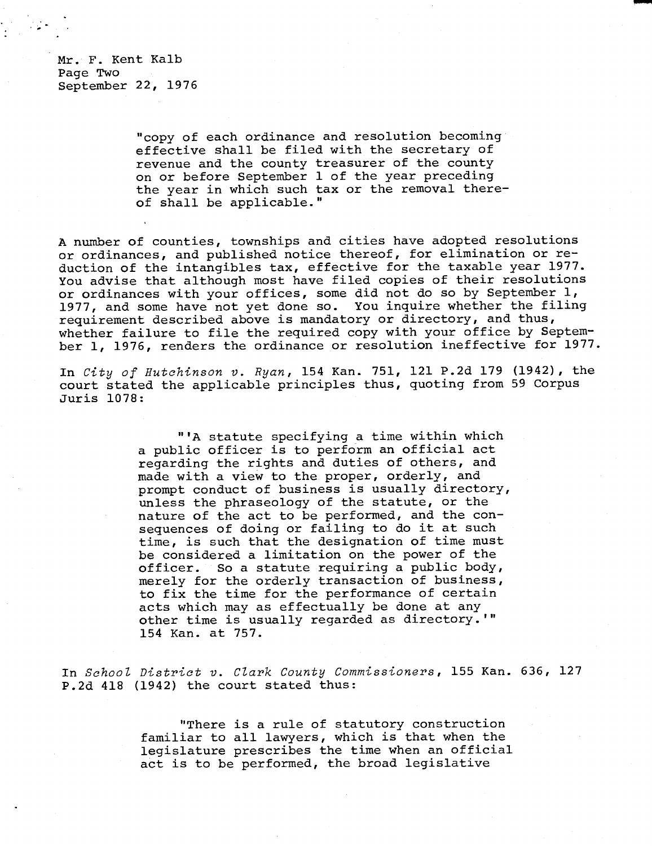Mr. F. Kent Kalb Page Two September 22, 1976

> "copy of each ordinance and resolution becoming effective shall be filed with the secretary of revenue and the county treasurer of the county on or before September 1 of the year preceding the year in which such tax or the removal thereof shall be applicable."

A number of counties, townships and cities have adopted resolutions or ordinances, and published notice thereof, for elimination or reduction of the intangibles tax, effective for the taxable year 1977. You advise that although most have filed copies of their resolutions or ordinances with your offices, some did not do so by September 1, 1977, and some have not yet done so. You inquire whether the filing requirement described above is mandatory or directory, and thus, whether failure to file the required copy with your office by September 1, 1976, renders the ordinance or resolution ineffective for 1977.

In City of Hutchinson v. Ryan, 154 Kan. 751, 121 P.2d 179 (1942), the court stated the applicable principles thus, quoting from 59 Corpus Juris 1078:

> "'A statute specifying a time within which a public officer is to perform an official act regarding the rights and duties of others, and made with a view to the proper, orderly, and prompt conduct of business is usually directory, unless the phraseology of the statute, or the nature of the act to be performed, and the consequences of doing or failing to do it at such time, is such that the designation of time must be considered a limitation on the power of the officer. So a statute requiring a public body, merely for the orderly transaction of business, to fix the time for the performance of certain acts which may as effectually be done at any other time is usually regarded as directory.'" 154 Kan. at 757.

In School District v. Clark County Commissioners, 155 Kan. 636, 127 P.2d 418 (1942) the court stated thus:

> "There is a rule of statutory construction familiar to all lawyers, which is that when the legislature prescribes the time when an official act is to be performed, the broad legislative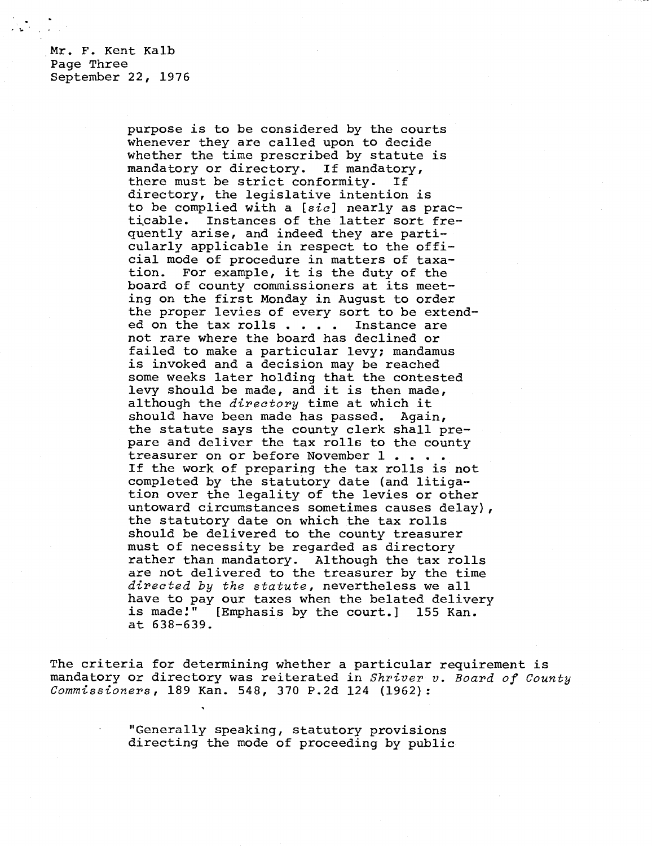Mr. F. Kent Kalb Page Three September 22, 1976

> purpose is to be considered by the courts whenever they are called upon to decide whether the time prescribed by statute is mandatory or directory. If mandatory, there must be strict conformity. If directory, the legislative intention is to be complied with a [sic] nearly as practicable. Instances of the latter sort frequently arise, and indeed they are parti cularly applicable in respect to the official mode of procedure in matters of taxation. For example, it is the duty of the board of county commissioners at its meeting on the first Monday in August to order the proper levies of every sort to be extended on the tax rolls . . . . Instance are not rare where the board has declined or failed to make a particular levy; mandamus is invoked and a decision may be reached some weeks later holding that the contested levy should be made, and it is then made, although the *directory* time at which it should have been made has passed. Again, the statute says the county clerk shall prepare and deliver the tax rolls to the county treasurer on or before November 1 . . . If the work of preparing the tax rolls is not completed by the statutory date (and litigation over the legality of the levies or other untoward circumstances sometimes causes delay), the statutory date on which the tax rolls should be delivered to the county treasurer must of necessity be regarded as directory rather than mandatory. Although the tax rolls are not delivered to the treasurer by the time directed by the statute, nevertheless we all have to pay our taxes when the belated delivery<br>is made!" [Emphasis by the court.] 155 Kan. [Emphasis by the court.] 155 Kan. at 638-639.

The criteria for determining whether a particular requirement is mandatory or directory was reiterated in Shriver v. Board of County Commissioners, 189 Kan. 548, 370 P.2d 124 (1962):

> "Generally speaking, statutory provisions directing the mode of proceeding by public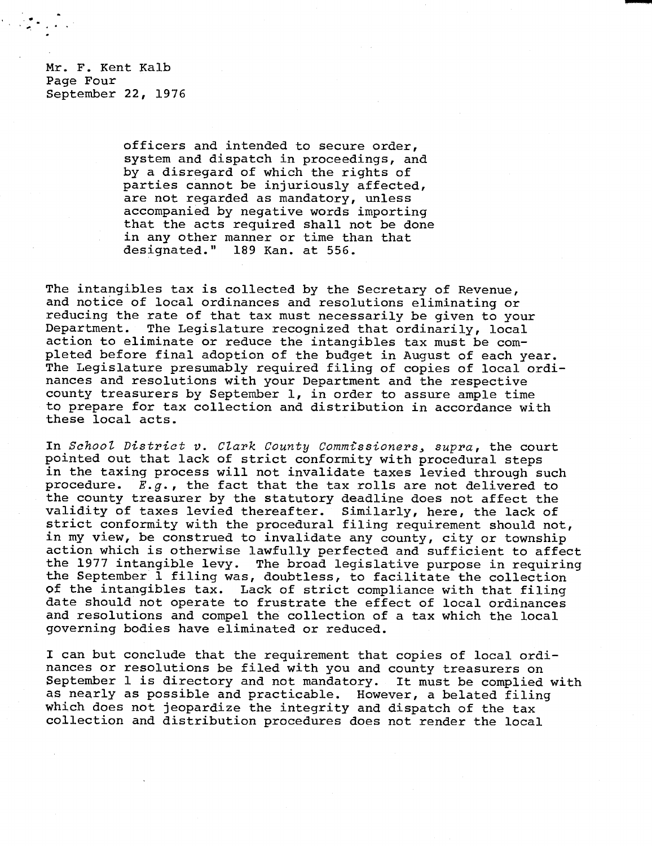Mr. F. Kent Kalb Page Four September 22, 1976

> officers and intended to secure order, system and dispatch in proceedings, and by a disregard of which the rights of parties cannot be injuriously affected, are not regarded as mandatory, unless accompanied by negative words importing that the acts required shall not be done in any other manner or time than that designated." 189 Kan. at 556.

The intangibles tax is collected by the Secretary of Revenue, and notice of local ordinances and resolutions eliminating or reducing the rate of that tax must necessarily be given to your Department. The Legislature recognized that ordinarily, local action to eliminate or reduce the intangibles tax must be completed before final adoption of the budget in August of each year. The Legislature presumably required filing of copies of local ordinances and resolutions with your Department and the respective county treasurers by September 1, in order to assure ample time to prepare for tax collection and distribution in accordance with these local acts.

In *School District* v. *Clark County Commissioners, supra,* the court pointed out that lack of strict conformity with procedural steps in the taxing process will not invalidate taxes levied through such procedure.  $E.g.$ , the fact that the tax rolls are not delivered to the county treasurer by the statutory deadline does not affect the validity of taxes levied thereafter. Similarly, here, the lack of strict conformity with the procedural filing requirement should not, in my view, be construed to invalidate any county, city or township action which is otherwise lawfully perfected and sufficient to affect the 1977 intangible levy. The broad legislative purpose in requiring the September 1 filing was, doubtless, to facilitate the collection of the intangibles tax. Lack of strict compliance with that filing date should not operate to frustrate the effect of local ordinances and resolutions and compel the collection of a tax which the local governing bodies have eliminated or reduced.

I can but conclude that the requirement that copies of local ordinances or resolutions be filed with you and county treasurers on September 1 is directory and not mandatory. It must be complied with as nearly as possible and practicable. However, a belated filing which does not jeopardize the integrity and dispatch of the tax collection and distribution procedures does not render the local